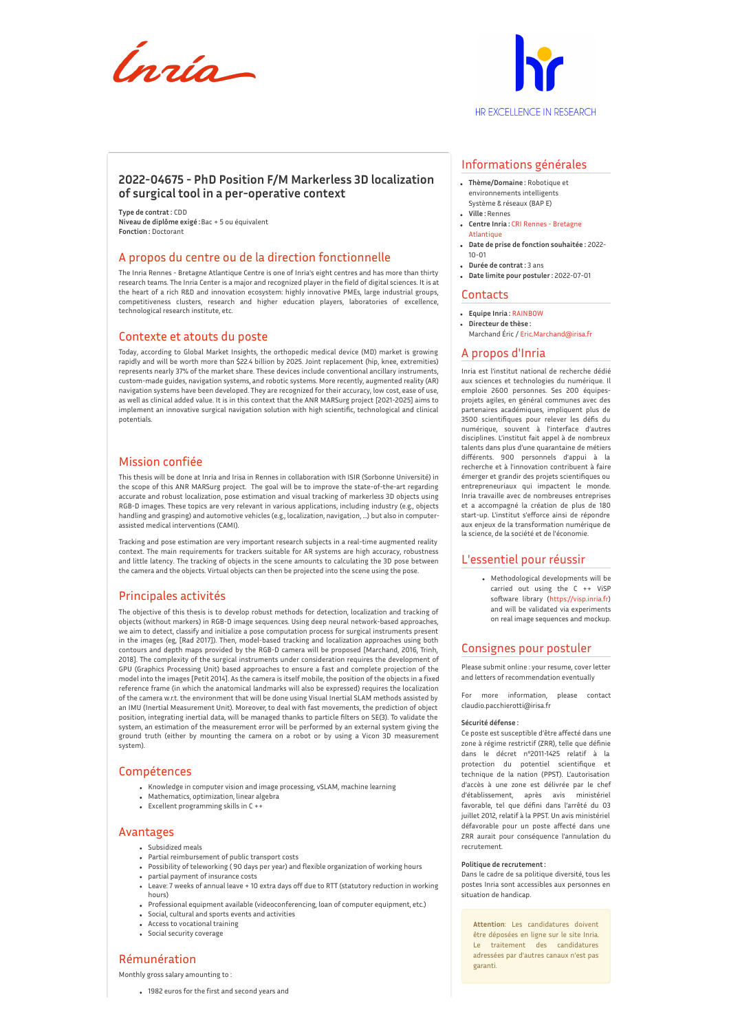



# **2022-04675 - PhD Position F/M Markerless 3D localization of surgical tool in a per-operative context**

**Type de contrat :** CDD **Niveau de diplôme exigé :**Bac + 5 ou équivalent **Fonction :** Doctorant

## A propos du centre ou de la direction fonctionnelle

The Inria Rennes - Bretagne Atlantique Centre is one of Inria's eight centres and has more than thirty research teams. The Inria Center is a major and recognized player in the field of digital sciences. It is at the heart of a rich R&D and innovation ecosystem: highly innovative PMEs, large industrial groups, competitiveness clusters, research and higher education players, laboratories of excellence, technological research institute, etc.

## Contexte et atouts du poste

Today, according to Global Market Insights, the orthopedic medical device (MD) market is growing rapidly and will be worth more than \$22.4 billion by 2025. Joint replacement (hip, knee, extremities) represents nearly 37% of the market share. These devices include conventional ancillary instruments, custom-made guides, navigation systems, and robotic systems. More recently, augmented reality (AR) navigation systems have been developed. They are recognized for their accuracy, low cost, ease of use, as well as clinical added value. It is in this context that the ANR MARSurg project [2021-2025] aims to implement an innovative surgical navigation solution with high scientific, technological and clinical potentials.

# Mission confiée

This thesis will be done at Inria and Irisa in Rennes in collaboration with ISIR (Sorbonne Université) in the scope of this ANR MARSurg project. The goal will be to improve the state-of-the-art regarding accurate and robust localization, pose estimation and visual tracking of markerless 3D objects using RGB-D images. These topics are very relevant in various applications, including industry (e.g., objects handling and grasping) and automotive vehicles (e.g., localization, navigation, …) but also in computerassisted medical interventions (CAMI).

Tracking and pose estimation are very important research subjects in a real-time augmented reality context. The main requirements for trackers suitable for AR systems are high accuracy, robustness and little latency. The tracking of objects in the scene amounts to calculating the 3D pose between the camera and the objects. Virtual objects can then be projected into the scene using the pose.

## Principales activités

The objective of this thesis is to develop robust methods for detection, localization and tracking of objects (without markers) in RGB-D image sequences. Using deep neural network-based approaches, we aim to detect, classify and initialize a pose computation process for surgical instruments present in the images (eg, [Rad 2017]). Then, model-based tracking and localization approaches using both contours and depth maps provided by the RGB-D camera will be proposed [Marchand, 2016, Trinh, 2018]. The complexity of the surgical instruments under consideration requires the development of GPU (Graphics Processing Unit) based approaches to ensure a fast and complete projection of the model into the images [Petit 2014]. As the camera is itself mobile, the position of the objects in a fixed reference frame (in which the anatomical landmarks will also be expressed) requires the localization of the camera w.r.t. the environment that will be done using Visual Inertial SLAM methods assisted by an IMU (Inertial Measurement Unit). Moreover, to deal with fast movements, the prediction of object position, integrating inertial data, will be managed thanks to particle filters on SE(3). To validate the system, an estimation of the measurement error will be performed by an external system giving the ground truth (either by mounting the camera on a robot or by using a Vicon 3D measurement system).

## Compétences

- Knowledge in computer vision and image processing, vSLAM, machine learning
- Mathematics, optimization, linear algebra
- Excellent programming skills in C ++

## Avantages

- Subsidized meals
- Partial reimbursement of public transport costs
- Possibility of teleworking ( 90 days per year) and flexible organization of working hours partial payment of insurance costs
- Leave: 7 weeks of annual leave + 10 extra days off due to RTT (statutory reduction in working hours)
- Professional equipment available (videoconferencing, loan of computer equipment, etc.)
- Social, cultural and sports events and activities
- Access to vocational training
- Social security coverage

# Rémunération

Monthly gross salary amounting to :

1982 euros for the first and second years and

## Informations générales

- **Thème/Domaine :** Robotique et environnements intelligents
- Système & réseaux (BAP E) **Ville :** Rennes
- **Centre Inria :** CRI Rennes Bretagne **[Atlantique](http://www.inria.fr/centre/rennes)**
- **Date de prise de fonction souhaitée :** 2022- 10-01
- **Durée de contrat :** 3 ans
- **Date limite pour postuler :** 2022-07-01

#### **Contacts**

- **Equipe Inria :** [RAINBOW](https://www.inria.fr/equipes/RAINBOW)
- **Directeur de thèse :**
- Marchand Éric / [Eric.Marchand@irisa.fr](mailto:Eric.Marchand@irisa.fr)

# A propos d'Inria

Inria est l'institut national de recherche dédié aux sciences et technologies du numérique. Il emploie 2600 personnes. Ses 200 équipesprojets agiles, en général communes avec des partenaires académiques, impliquent plus de 3500 scientifiques pour relever les défis du numérique, souvent à l'interface d'autres disciplines. L'institut fait appel à de nombreux talents dans plus d'une quarantaine de métiers différents. 900 personnels d'appui à la recherche et à l'innovation contribuent à faire émerger et grandir des projets scientifiques ou entrepreneuriaux qui impactent le monde. Inria travaille avec de nombreuses entreprises et a accompagné la création de plus de 180 start-up. L'institut s'efforce ainsi de répondre aux enjeux de la transformation numérique de la science, de la société et de l'économie.

#### L'essentiel pour réussir

Methodological developments will be carried out using the C ++ ViSP software library [\(https://visp.inria.fr](https://visp.inria.fr)) and will be validated via experiments on real image sequences and mockup.

#### Consignes pour postuler

Please submit online : your resume, cover letter and letters of recommendation eventually

more information, please contact claudio.pacchierotti@irisa.fr

#### **Sécurité défense :**

Ce poste est susceptible d'être affecté dans une zone à régime restrictif (ZRR), telle que définie dans le décret n°2011-1425 relatif à la protection du potentiel scientifique et technique de la nation (PPST). L'autorisation d'accès à une zone est délivrée par le chef d'établissement, après avis ministériel favorable, tel que défini dans l'arrêté du 03 juillet 2012, relatif à la PPST. Un avis ministériel défavorable pour un poste affecté dans une ZRR aurait pour conséquence l'annulation du recrutement.

#### **Politique de recrutement :**

Dans le cadre de sa politique diversité, tous les postes Inria sont accessibles aux personnes en situation de handicap.

**Attention**: Les candidatures doivent être déposées en ligne sur le site Inria. Le traitement des candidatures adressées par d'autres canaux n'est pas garanti.